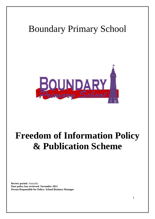## Boundary Primary School



# **Freedom of Information Policy & Publication Scheme**

**Review period:** Annually **Date policy last reviewed: November 2021 Person Responsible for Policy: School Business Manager**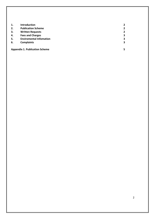| 1. | Introduction                          |                |
|----|---------------------------------------|----------------|
| 2. | <b>Publication Scheme</b>             | $\overline{2}$ |
| 3. | <b>Written Requests</b>               | $\overline{2}$ |
| 4. | <b>Fees and Charges</b>               | 3              |
| 5. | <b>Enviromental Infomation</b>        | 3              |
| 6. | <b>Complaints</b>                     | 3              |
|    | <b>Appendix 1. Publication Scheme</b> |                |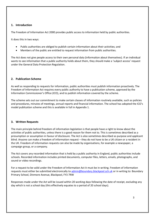## <span id="page-2-0"></span>**1. Introduction**

The Freedom of Information Act 2000 provides public access to information held by public authorities.

It does this in two ways:

- Public authorities are obliged to publish certain information about their activities; and
- Members of the public are entitled to request information from public authorities.

The Act does not give people access to their own personal data (information about themselves). If an individual wants to see information that a public authority holds about them, they should make a 'subject access' request under the General Data Protection Regulation.

## **2. Publication Scheme**

As well as responding to requests for information, public authorities must publish information proactively. The Freedom of Information Act requires every public authority to have a publication scheme, approved by the Information Commissioner's Office (ICO), and to publish information covered by the scheme.

The scheme sets out our commitment to make certain classes of information routinely available, such as policies and procedures, minutes of meetings, annual reports and financial information. The school has adopted the ICO's model publication scheme and this is available in full in Appendix 1.

## **3. Written Requests**

The main principle behind freedom of information legislation is that people have a right to know about the activities of public authorities, unless there is a good reason for them not to. This is sometimes described as a presumption or assumption in favour of disclosure. The Act is also sometimes described as purpose and applicant blind. Anyone can make a freedom of information request – they do not have to be a UK citizen or a resident in the UK. Freedom of information requests can also be made by organisations, for example a newspaper, a campaign group, or a company.

The Act covers any recorded information that is held by a public authority in England, public authorities include schools. Recorded information includes printed documents, computer files, letters, emails, photographs, and sound or video recordings.

For a request to be valid under the Freedom of Information Act it must be in writing. Freedom of information requests must either be submitted electronically to [admin@boundary.blackpool.sch.uk](mailto:admin@boundary.blackpool.sch.uk) or in writing to: Boundary Primary School, Dinmore Avenue, Blackpool, FY3 7RW

Responses made under the Act will be issued within 20 working days following the date of receipt, excluding any day which is not a school day (this effectively equates to a period of 20 school days).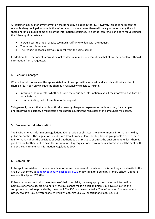A requester may ask for any information that is held by a public authority. However, this does not mean the school is always obliged to provide the information. In some cases, there will be a good reason why the school should not make public some or all of the information requested. The school can refuse an entire request under the following circumstances:

- It would cost too much or take too much staff time to deal with the request.
- The request is vexatious.
- The request repeats a previous request from the same person.

In addition, the Freedom of Information Act contains a number of exemptions that allow the school to withhold information from a requester.

## **4. Fees and Charges**

Where it would not exceed the appropriate limit to comply with a request, and a public authority wishes to charge a fee, it can only include the charges it reasonably expects to incur in:

- Informing the requestor whether it holds the requested information (even if the information will not be provided), and
- Communicating that information to the requestor.

This generally means that a public authority can only charge for expenses actually incurred, for example, photocopying or postage. It must issue a fees notice advising the requestor of the amount it will charge.

## **5. Environmental Information**

The Environmental Information Regulations 2004 provide public access to environmental information held by public authorities. The Regulations are derived from European law. The Regulations give people a right of access to information about the activities of public authorities that relate to or affect the environment, unless there is good reason for them not to have the information. Any request for environmental information will be dealt with under the Environmental Information Regulations 2004.

## **6. Complaints**

If the applicant wishes to make a complaint or request a review of the school's decision, they should write to the Chair of Governors a[t admin@boundary.blackpool.sch.uk](mailto:admin@boundary.blackpool.sch.uk) or in writing to: Boundary Primary School, Dinmore Avenue, Blackpool, FY3 7RW

If they are not content with the outcome of their complaint, they may apply directly to the Information Commissioner for a decision. Generally, the ICO cannot make a decision unless you have exhausted the complaints procedure provided by the school. The ICO can be contacted at The Information Commissioner's Office, Wycliffe House, Water Lane, Wilmslow, Cheshire SK9 5AF or telephone 0303 123 111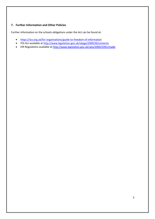## **7. Further Information and Other Policies**

Further information on the schools obligations under the Act can be found at:

- <https://ico.org.uk/for-organisations/guide-to-freedom-of-information>
- FOI Act available at<http://www.legislation.gov.uk/ukpga/2000/36/contents>
- EIR Regulations available a[t http://www.legislation.gov.uk/uksi/2004/3391/made.](http://www.legislation.gov.uk/uksi/2004/3391/made)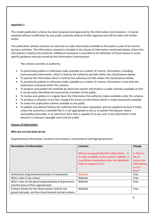## **Appendix 1.**

This model publication scheme has been prepared and approved by the Information Commissioner. It may be adopted without modification by any public authority without further approval and will be valid until further notice.

This publication scheme commits an authority to make information available to the public as part of its normal business activities. The information covered is included in the classes of information mentioned below, where this information is held by the authority. Additional assistance is provided to the definition of these classes in sector specific guidance manuals issued by the Information Commissioner.

The scheme commits an authority:

- To proactively publish or otherwise make available as a matter of routine, information, including environmental information, which is held by the authority and falls within the classifications below.
- To specify the information which is held by the authority and falls within the classifications below.
- To proactively publish or otherwise make available as a matter of routine, information in line with the statements contained within this scheme.
- To produce and publish the methods by which the specific information is made routinely available so that it can be easily identified and accessed by members of the public.
- To review and update on a regular basis the information the authority makes available under this scheme.
- To produce a schedule of any fees charged for access to information which is made proactively available.
- To make this publication scheme available to the public.
- To publish any dataset held by the authority that has been requested, and any updated versions it holds, unless the authority is satisfied that it is not appropriate to do so; to publish the dataset, where reasonably practicable, in an electronic form that is capable of re-use; and, if any information in the dataset is a relevant copyright work and the public

## **Classes of Information**

## **Who we are and what we do**.

Organisational information, locations and contacts, constitutional and legal governance.

| <b>Description of Information</b>                    | Location                                      | <b>Charge</b> |
|------------------------------------------------------|-----------------------------------------------|---------------|
|                                                      |                                               |               |
|                                                      | Where can people find this information $-$ is | Is there a    |
|                                                      | it made available on the school's website, is | fee to        |
|                                                      | it published somewhere else, do individuals   | access the    |
|                                                      | have to request it etc?                       | information   |
|                                                      |                                               |               |
|                                                      |                                               | or is it      |
|                                                      |                                               | free?         |
| Instrument of government/articles of association     | Website                                       | Free          |
| Who's who in the school                              | Website                                       | Free          |
| Who's who on the governing body/board of governors   | Website                                       | Free          |
| and the basis of their appointment                   |                                               |               |
| Contact details for the Head teacher and for the     | Website                                       | Free          |
| governing body, via the school (named contacts where |                                               |               |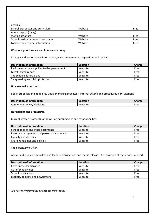| possible)                           |         |      |
|-------------------------------------|---------|------|
| School prospectus and curriculum    | Website | Free |
| Annual report (if any)              |         |      |
| Staffing structure                  | Website | Free |
| School session times and term dates | Website | Free |
| Location and contact information    | Website | Free |

#### **What our priorities are and how we are doing.**

Strategy and performance information, plans, assessments, inspections and reviews.

| <b>Description of Information</b>           | Location | Charge |
|---------------------------------------------|----------|--------|
| Performance data supplied to the government | Website  | Free   |
| Latest Ofsted report                        | Website  | Free   |
| The school's future plans                   | Website  | Free   |
| Safeguarding and child protection           | Website  | Free   |

#### **How we make decisions.**

Policy proposals and decisions. Decision making processes, internal criteria and procedures, consultations.

| <b>Description of Information</b> | Location | <b>Charge</b> |
|-----------------------------------|----------|---------------|
| Admissions policy / decisions     | Website  | Free          |

## **Our policies and procedures.**

Current written protocols for delivering our functions and responsibilities.

| <b>Description of Information</b>             | Location | Charge |
|-----------------------------------------------|----------|--------|
| School policies and other documents           | Website  | Free   |
| Records management and personal data policies | Website  | Free   |
| Equality and diversity                        | Website  | Free   |
| Charging regimes and policies                 | Website  | Free   |

## **The Services we Offer.**

Advice and guidance, booklets and leaflets, transactions and media releases. A description of the services offered.

| <b>Description of Information</b>  | Location | Charge |
|------------------------------------|----------|--------|
| Extra-curricular activities        | Website  | Free   |
| Out of school clubs                | Website  | Free   |
| School publications                | Website  | Free   |
| Leaflets, booklets and newsletters | Website  | Free   |

*The classes of information will not generally include:*